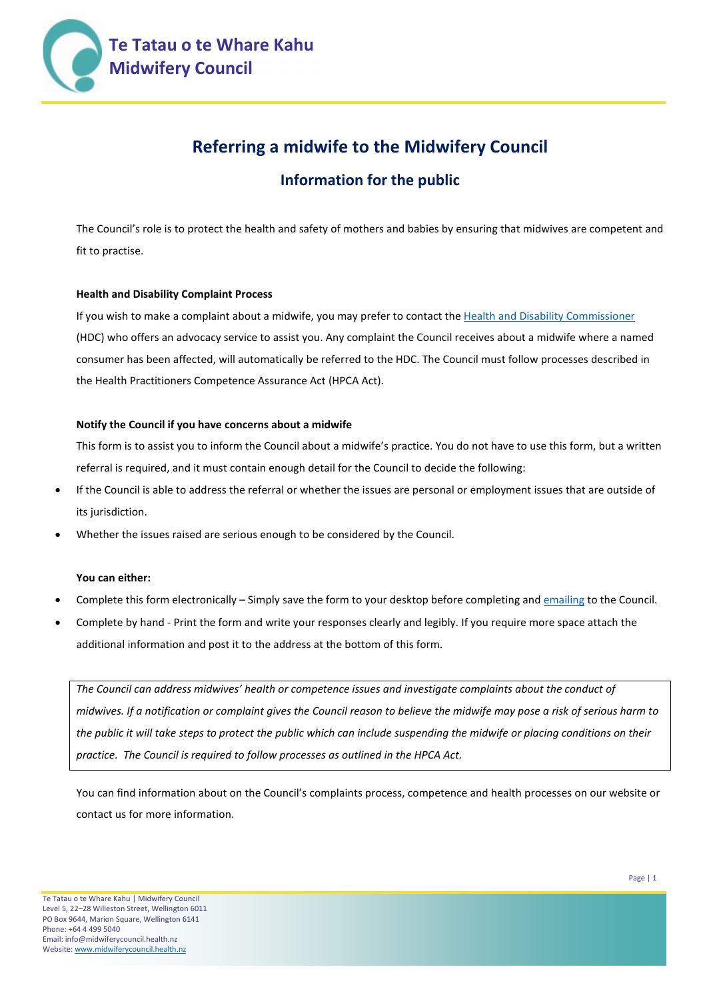

# **Referring a midwife to the Midwifery Council**

# **Information for the public**

The Council's role is to protect the health and safety of mothers and babies by ensuring that midwives are competent and fit to practise.

#### **Health and Disability Complaint Process**

If you wish to make a complaint about a midwife, you may prefer to contact th[e Health and Disability Commissioner](mailto:http://www.hdc.org.nz/) (HDC) who offers an advocacy service to assist you. Any complaint the Council receives about a midwife where a named consumer has been affected, will automatically be referred to the HDC. The Council must follow processes described in the Health Practitioners Competence Assurance Act (HPCA Act).

#### **Notify the Council if you have concerns about a midwife**

This form is to assist you to inform the Council about a midwife's practice. You do not have to use this form, but a written referral is required, and it must contain enough detail for the Council to decide the following:

- If the Council is able to address the referral or whether the issues are personal or employment issues that are outside of its jurisdiction.
- Whether the issues raised are serious enough to be considered by the Council.

#### **You can either:**

- Complete this form electronically Simply save the form to your desktop before completing an[d emailing](mailto:notifications@midwiferycouncil.health.nz) to the Council.
- Complete by hand Print the form and write your responses clearly and legibly. If you require more space attach the additional information and post it to the address at the bottom of this form.

*The Council can address midwives' health or competence issues and investigate complaints about the conduct of midwives. If a notification or complaint gives the Council reason to believe the midwife may pose a risk of serious harm to the public it will take steps to protect the public which can include suspending the midwife or placing conditions on their practice. The Council is required to follow processes as outlined in the HPCA Act.* 

You can find information about on the Council's complaints process, competence and health processes on our website or contact us for more information.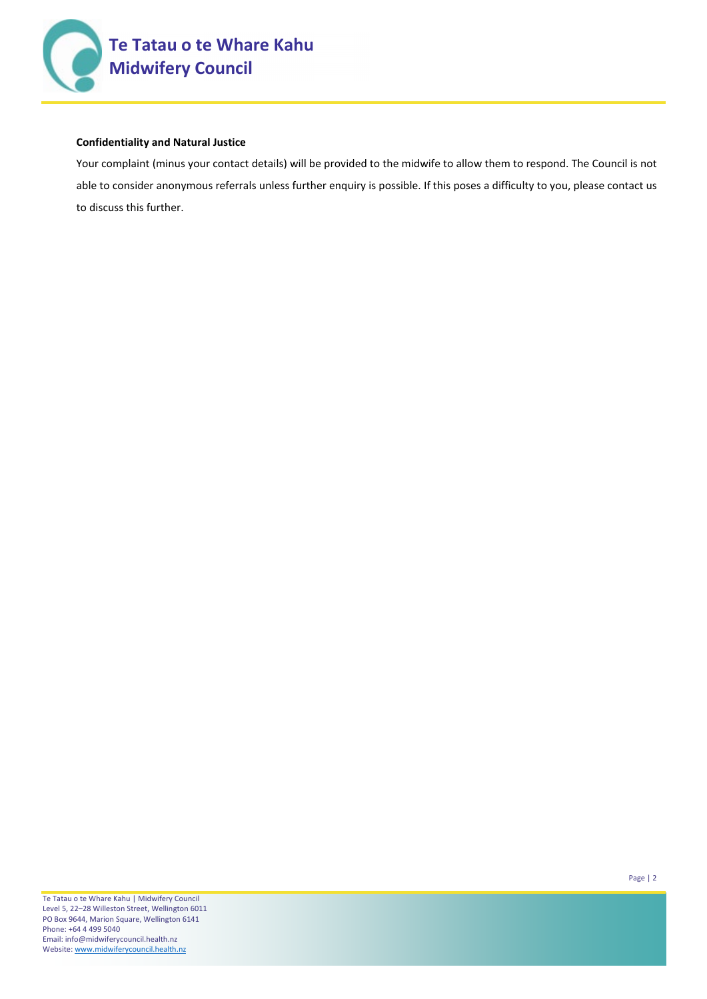

#### **Confidentiality and Natural Justice**

Your complaint (minus your contact details) will be provided to the midwife to allow them to respond. The Council is not able to consider anonymous referrals unless further enquiry is possible. If this poses a difficulty to you, please contact us to discuss this further.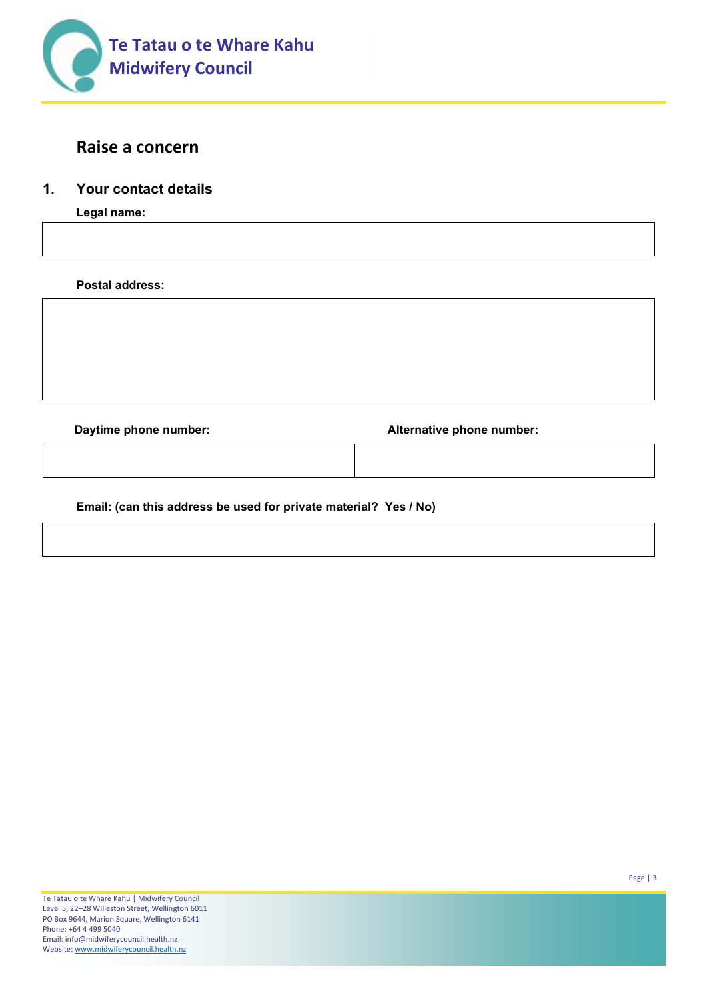

# **Raise a concern**

# **1. Your contact details**

**Legal name:**

**Postal address:**

**Daytime phone number: Alternative phone number:**

**Email: (can this address be used for private material? Yes / No)**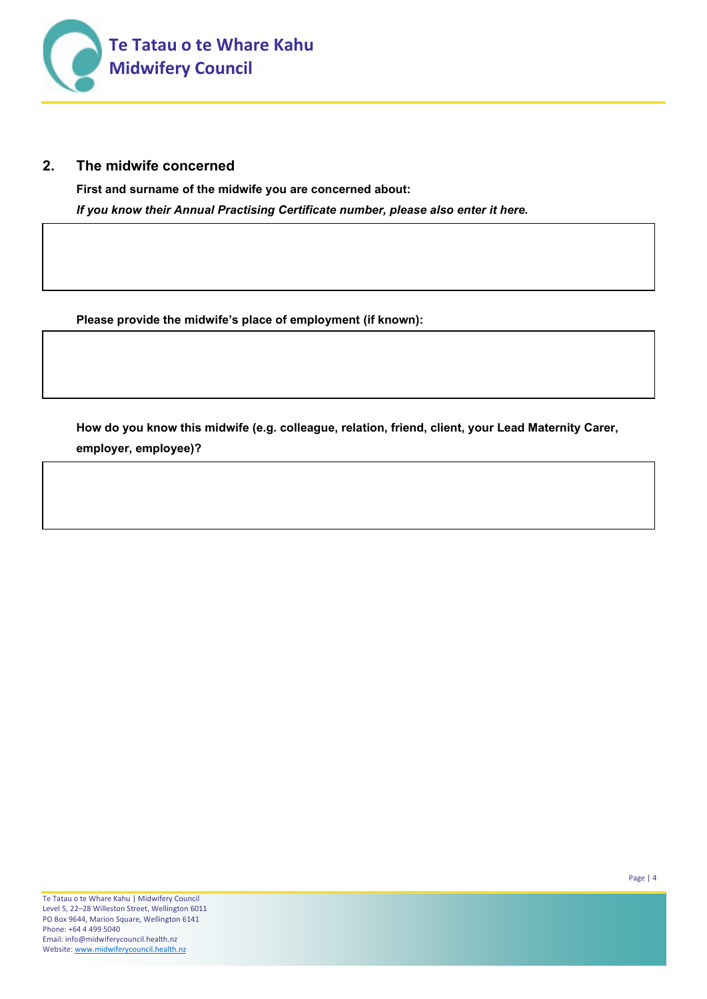

## **2. The midwife concerned**

**First and surname of the midwife you are concerned about:**  *If you know their Annual Practising Certificate number, please also enter it here.* 

**Please provide the midwife's place of employment (if known):**

**How do you know this midwife (e.g. colleague, relation, friend, client, your Lead Maternity Carer, employer, employee)?**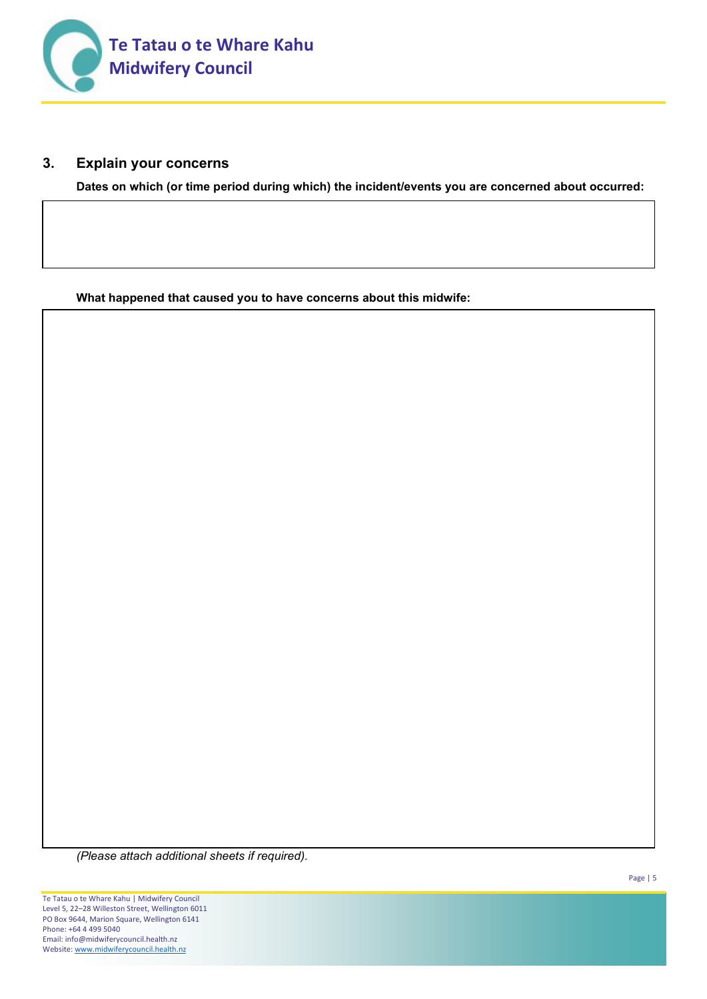

## **3. Explain your concerns**

**Dates on which (or time period during which) the incident/events you are concerned about occurred:** 

**What happened that caused you to have concerns about this midwife:**

*(Please attach additional sheets if required).*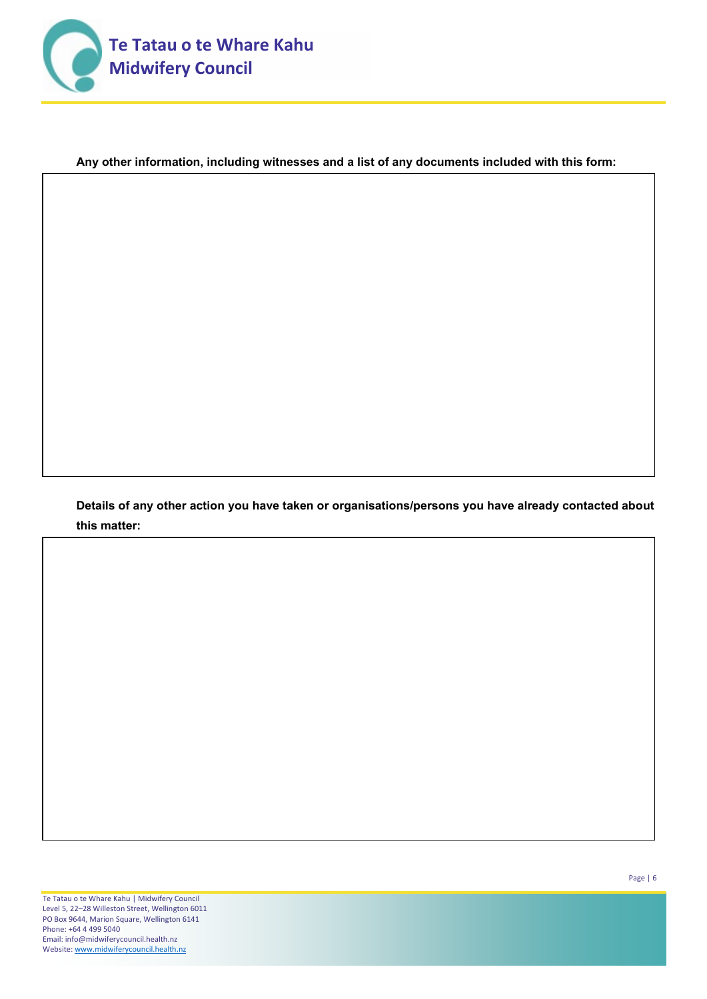

### **Any other information, including witnesses and a list of any documents included with this form:**

**Details of any other action you have taken or organisations/persons you have already contacted about this matter:**